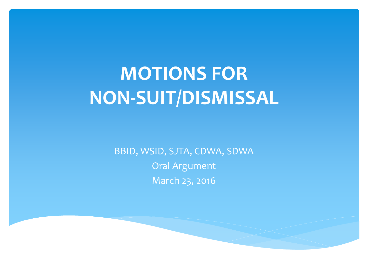### **MOTIONS FOR NON-SUIT/DISMISSAL**

BBID, WSID, SJTA, CDWA, SDWA Oral Argument March 23, 2016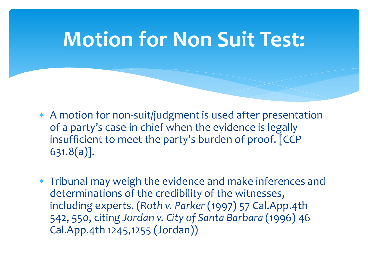### **Motion for Non Suit Test:**

- ∗ A motion for non-suit/judgment is used after presentation of a party's case-in-chief when the evidence is legally insufficient to meet the party's burden of proof. [CCP 631.8(a)].
- ∗ Tribunal may weigh the evidence and make inferences and determinations of the credibility of the witnesses, including experts. (*Roth v. Parker* (1997) 57 Cal.App.4th 542, 550, citing *Jordan v. City of Santa Barbara* (1996) 46 Cal.App.4th 1245,1255 (Jordan))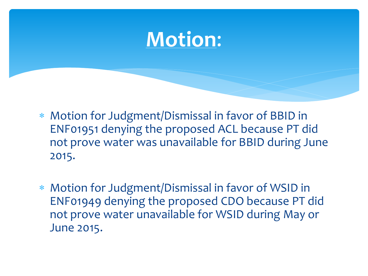### **Motion**:

- ∗ Motion for Judgment/Dismissal in favor of BBID in ENF01951 denying the proposed ACL because PT did not prove water was unavailable for BBID during June 2015.
- ∗ Motion for Judgment/Dismissal in favor of WSID in ENF01949 denying the proposed CDO because PT did not prove water unavailable for WSID during May or June 2015.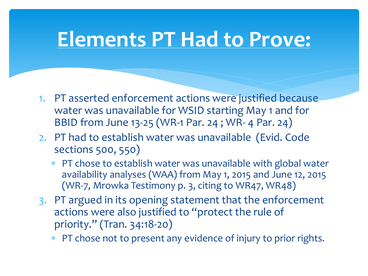### **Elements PT Had to Prove:**

- 1. PT asserted enforcement actions were justified because water was unavailable for WSID starting May 1 and for BBID from June 13-25 (WR-1 Par. 24 ; WR- 4 Par. 24)
- 2. PT had to establish water was unavailable (Evid. Code sections 500, 550)
	- ∗ PT chose to establish water was unavailable with global water availability analyses (WAA) from May 1, 2015 and June 12, 2015 (WR-7, Mrowka Testimony p. 3, citing to WR47, WR48)
- 3. PT argued in its opening statement that the enforcement actions were also justified to "protect the rule of priority." (Tran. 34:18-20)
	- ∗ PT chose not to present any evidence of injury to prior rights.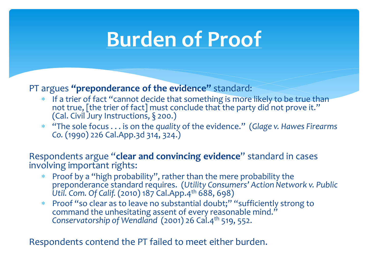### **Burden of Proof**

PT argues **"preponderance of the evidence"** standard:

- <sup>∗</sup> If a trier of fact "cannot decide that something is more likely to be true than not true, [the trier of fact] must conclude that the party did not prove it." (Cal. Civil Jury Instructions, § 200.)
- ∗ "The sole focus . . . is on the *quality* of the evidence." (*Glage v. Hawes Firearms Co.* (1990) 226 Cal.App.3d 314, 324.)

Respondents argue "**clear and convincing evidence**" standard in cases involving important rights:

- ∗ Proof by a "high probability", rather than the mere probability the preponderance standard requires. (*Utility Consumers' Action Network v. Public Util. Com. Of Calif.* (2010) 187 Cal.App.4th 688, 698)
- Proof "so clear as to leave no substantial doubt;" "sufficiently strong to command the unhesitating assent of every reasonable mind." *Conservatorship of Wendland* (2001) 26 Cal.4th 519, 552.

Respondents contend the PT failed to meet either burden.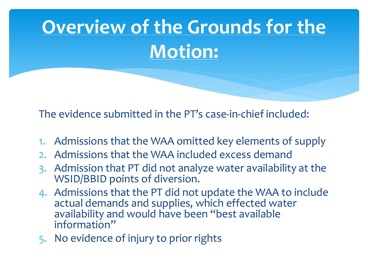# **Overview of the Grounds for the Motion:**

The evidence submitted in the PT's case-in-chief included:

- 1. Admissions that the WAA omitted key elements of supply
- 2. Admissions that the WAA included excess demand
- 3. Admission that PT did not analyze water availability at the WSID/BBID points of diversion.
- 4. Admissions that the PT did not update the WAA to include actual demands and supplies, which effected water availability and would have been "best available information"
- 5. No evidence of injury to prior rights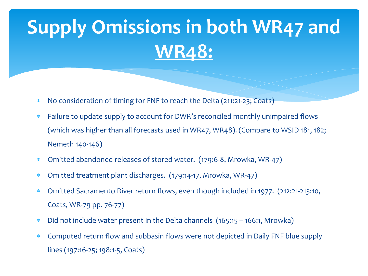# **Supply Omissions in both WR47 and WR48:**

- ∗ No consideration of timing for FNF to reach the Delta (211:21-23; Coats)
- ∗ Failure to update supply to account for DWR's reconciled monthly unimpaired flows (which was higher than all forecasts used in WR47, WR48). (Compare to WSID 181, 182; Nemeth 140-146)
- ∗ Omitted abandoned releases of stored water. (179:6-8, Mrowka, WR-47)
- ∗ Omitted treatment plant discharges. (179:14-17, Mrowka, WR-47)
- ∗ Omitted Sacramento River return flows, even though included in 1977. (212:21-213:10, Coats, WR-79 pp. 76-77)
- ∗ Did not include water present in the Delta channels (165:15 166:1, Mrowka)
- ∗ Computed return flow and subbasin flows were not depicted in Daily FNF blue supply lines (197:16-25; 198:1-5, Coats)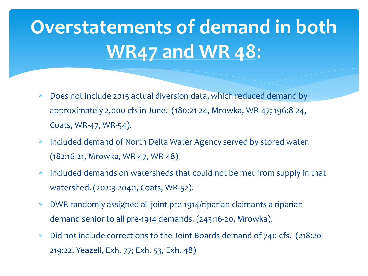# **Overstatements of demand in both WR47 and WR 48**:

- ∗ Does not include 2015 actual diversion data, which reduced demand by approximately 2,000 cfs in June. (180:21-24, Mrowka, WR-47; 196:8-24, Coats, WR-47, WR-54).
- ∗ Included demand of North Delta Water Agency served by stored water. (182:16-21, Mrowka, WR-47, WR-48)
- ∗ Included demands on watersheds that could not be met from supply in that watershed. (202:3-204:1, Coats, WR-52).
- ∗ DWR randomly assigned all joint pre-1914/riparian claimants a riparian demand senior to all pre-1914 demands. (243:16-20, Mrowka).
- ∗ Did not include corrections to the Joint Boards demand of 740 cfs. (218:20- 219:22, Yeazell, Exh. 77; Exh. 53, Exh. 48)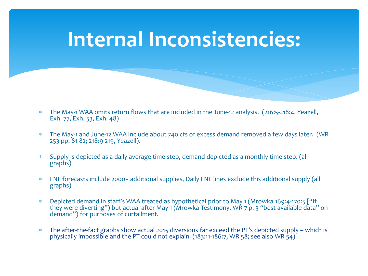### **Internal Inconsistencies:**

- The May-1 WAA omits return flows that are included in the June-12 analysis. (216:5-218:4, Yeazell, Exh. 77, Exh. 53, Exh. 48)
- The May-1 and June-12 WAA include about 740 cfs of excess demand removed a few days later. (WR 253 pp. 81-82; 218:9-219, Yeazell).
- Supply is depicted as a daily average time step, demand depicted as a monthly time step. (all graphs)
- ∗ FNF forecasts include 2000+ additional supplies, Daily FNF lines exclude this additional supply (all graphs)
- Depicted demand in staff's WAA treated as hypothetical prior to May 1 (Mrowka 169:4-170:5 ["If they were diverting") but actual after May 1 (Mrowka Testimony, WR 7 p. 3 "best available data" on demand") for purposes of curtailment.
- The after-the-fact graphs show actual 2015 diversions far exceed the PT's depicted supply which is physically impossible and the PT could not explain. (183:11-186:7, WR 58; see also WR 54)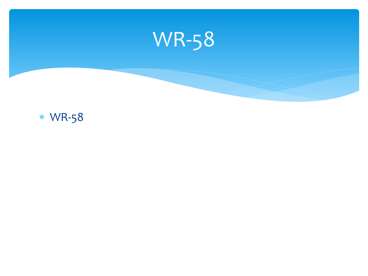

### ∗ WR-58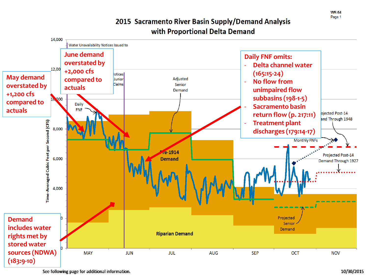14,000 Water Unavailability Notices Issued to **June demand Daily FNF omits: overstated by**  - **Delta channel water**   $12,00$ **+2,000 cfs (165:15 -24)** |otices| **May demand compared to**  Adjusted Junior - **No flow from**  Claims **overstated by**  Senior **actuals unimpaired flow**  Demand **+1,200 cfs subbasins (198 - 1 -5) compared to**  Daily - **Sacramento basin actuals FNF** ojected Post-14 **return flow (p. 217 :11)** and Through 1948 Time-Averaged Cubic Feet per Second (CFS) - **Treatment plant**  8,000 **discharges (179:14 -17)Monthly FNFs** re-1914 **Projected Post-14** 6,000 **Demand** Demand Through 1927 4,000 Projected **Demand**  Senior **includes water**  Demand **Riparian Demand rights met by stored water sources (NDWA) JUL MAY JUN AUG SEP OCT NOV (183:9 -10)** 

#### 2015 Sacramento River Basin Supply/Demand Analysis with Proportional Delta Demand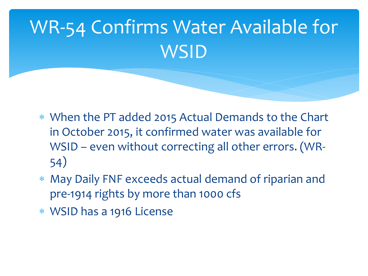# WR-54 Confirms Water Available for **WSID**

- ∗ When the PT added 2015 Actual Demands to the Chart in October 2015, it confirmed water was available for WSID – even without correcting all other errors. (WR-54)
- ∗ May Daily FNF exceeds actual demand of riparian and pre-1914 rights by more than 1000 cfs
- ∗ WSID has a 1916 License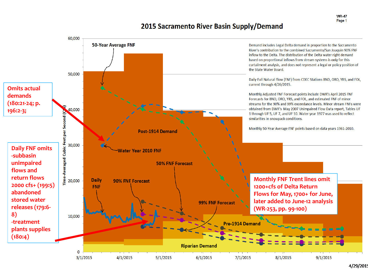**WR-47** Page 1

#### 2015 Sacramento River Basin Supply/Demand



<sup>4/29/2019</sup>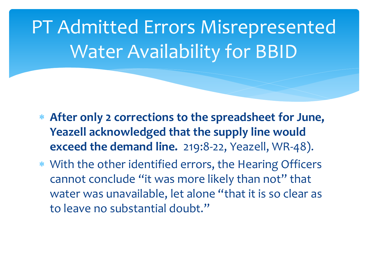PT Admitted Errors Misrepresented Water Availability for BBID

- ∗ **After only 2 corrections to the spreadsheet for June, Yeazell acknowledged that the supply line would exceed the demand line.** 219:8-22, Yeazell, WR-48).
- ∗ With the other identified errors, the Hearing Officers cannot conclude "it was more likely than not" that water was unavailable, let alone "that it is so clear as to leave no substantial doubt."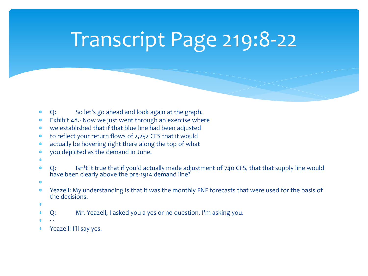# Transcript Page 219:8-22

- ∗ Q: So let's go ahead and look again at the graph,
- ∗ Exhibit 48.· Now we just went through an exercise where
- ∗ we established that if that blue line had been adjusted
- ∗ to reflect your return flows of 2,252 CFS that it would
- ∗ actually be hovering right there along the top of what
- ∗ you depicted as the demand in June.
- ∗
- ∗ Q: Isn't it true that if you'd actually made adjustment of 740 CFS, that that supply line would have been clearly above the pre-1914 demand line?
- ∗
- ∗ Yeazell: My understanding is that it was the monthly FNF forecasts that were used for the basis of the decisions.
- ∗
- Q: Mr. Yeazell, I asked you a yes or no question. I'm asking you.
- ∗ · ·
- Yeazell: I'll say yes.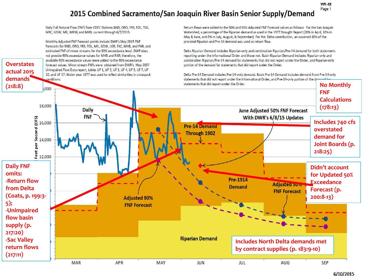#### 2015 Combined Sacramento/San Joaquin River Basin Senior Supply/Demand

Daily Full Natural Flow (FNF) from CDEC Stations BND, ORO, YRS, FOL, TLG, MRC, GDW, MIL, MKM, and MHB, current through 6/7/2015.

Monthly Adjusted FNF Forecast points include DWR's May 2015 FNF Forecasts for BND, ORO, YRS, FOL, MIL, GDW, LGR, EXC, MHB, and PAR, and estimated FNF of minor streams for the 90% exceedance level. DWR does not provide 90% exceedance values for MHB and PAR; therefore, the available 50% exceedance values were added to the 90% exceedance forecast values. Minor stream FNFs were obtained from DWR's May 2007 Unimpaired Flow Data report, tables UF 1, UF 2, UF 3, UF 4, UF 5, UF 7, UF 10, and UF 17. Water year 1977 was used to reflect similarities in snowpack

**Overstates actual 2015 demands** 

conditions.

Return flows were added to the 50% and 90% Adjusted FNF Forecast values as follows: For the San Joaquin Watershed, a percentage of the Riparian demand as used in the 1977 Drought Report (20% in April, 10% in May & June, and 0% in July, August, & September). For the Delta contribution, an assumed 40% of the prorated Riparian and Pre-14 demand was used as return flow.

Delta Riparian Demand includes Riparian-only and combination Riparian/Pre-14 demand for both statements reporting under the Informational Order and those not. Basin Riparian Demand includes Riparian-only and combination Riparian/Pre-14 demand for statements that did not report under the Order, and Riparian-only portion of the demand for statements that did report under the Order.

Delta Pre-14 Demand includes Pre-14-only demand. Basin Pre-14 Demand includes demand from Pre-14-only statements that did not report under the Informational Order, and Pre-14-only portion of the demand for statements that did report under the Order.

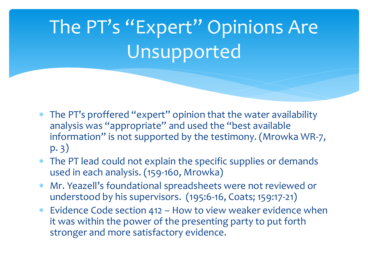# The PT's "Expert" Opinions Are Unsupported

- The PT's proffered "expert" opinion that the water availability analysis was "appropriate" and used the "best available information" is not supported by the testimony. (Mrowka WR-7, p. 3)
- ∗ The PT lead could not explain the specific supplies or demands used in each analysis. (159-160, Mrowka)
- ∗ Mr. Yeazell's foundational spreadsheets were not reviewed or understood by his supervisors. (195:6-16, Coats; 159:17-21)
- ∗ Evidence Code section 412 How to view weaker evidence when it was within the power of the presenting party to put forth stronger and more satisfactory evidence.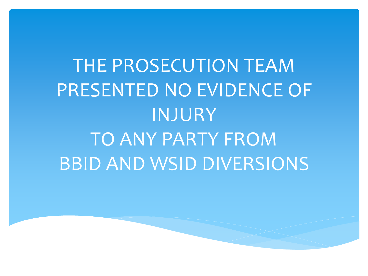# THE PROSECUTION TEAM PRESENTED NO EVIDENCE OF INJURY TO ANY PARTY FROM BBID AND WSID DIVERSIONS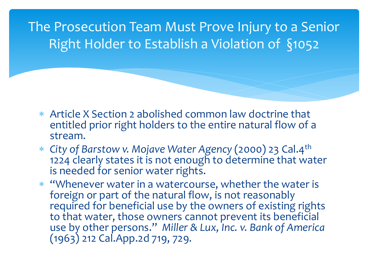The Prosecution Team Must Prove Injury to a Senior Right Holder to Establish a Violation of §1052

- ∗ Article X Section 2 abolished common law doctrine that entitled prior right holders to the entire natural flow of a stream.
- ∗ *City of Barstow v. Mojave Water Agency* (2000) 23 Cal.4th 1224 clearly states it is not enough to determine that water is needed for senior water rights.
- ∗ "Whenever water in a watercourse, whether the water is foreign or part of the natural flow, is not reasonably required for beneficial use by the owners of existing rights to that water, those owners cannot prevent its beneficial use by other persons." *Miller & Lux, Inc. v. Bank of America*  (1963) 212 Cal.App.2d 719, 729.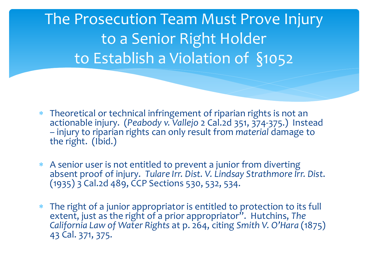The Prosecution Team Must Prove Injury to a Senior Right Holder to Establish a Violation of §1052

- ∗ Theoretical or technical infringement of riparian rights is not an actionable injury. (*Peabody v. Vallejo* 2 Cal.2d 351, 374-375.) Instead – injury to riparian rights can only result from *material* damage to the right. (Ibid.)
- ∗ A senior user is not entitled to prevent a junior from diverting absent proof of injury. *Tulare Irr. Dist. V. Lindsay Strathmore Irr. Dist*. (1935) 3 Cal.2d 489, CCP Sections 530, 532, 534.
- The right of a junior appropriator is entitled to protection to its full extent, just as the right of a prior appropriator". Hutchins, *The California Law of Water Rights* at p. 264, citing *Smith V. O'Hara* (1875) 43 Cal. 371, 375.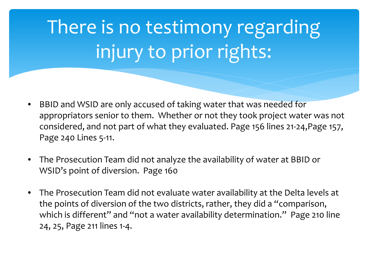# There is no testimony regarding injury to prior rights:

- BBID and WSID are only accused of taking water that was needed for appropriators senior to them. Whether or not they took project water was not considered, and not part of what they evaluated. Page 156 lines 21-24,Page 157, Page 240 Lines 5-11.
- The Prosecution Team did not analyze the availability of water at BBID or WSID's point of diversion. Page 160
- The Prosecution Team did not evaluate water availability at the Delta levels at the points of diversion of the two districts, rather, they did a "comparison, which is different" and "not a water availability determination." Page 210 line 24, 25, Page 211 lines 1-4.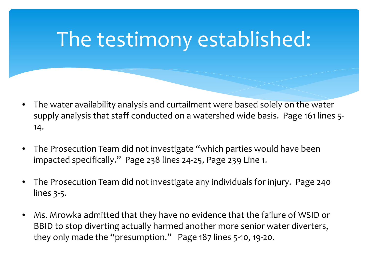## The testimony established:

- The water availability analysis and curtailment were based solely on the water supply analysis that staff conducted on a watershed wide basis. Page 161 lines 5- 14.
- The Prosecution Team did not investigate "which parties would have been impacted specifically." Page 238 lines 24-25, Page 239 Line 1.
- The Prosecution Team did not investigate any individuals for injury. Page 240 lines 3-5.
- Ms. Mrowka admitted that they have no evidence that the failure of WSID or BBID to stop diverting actually harmed another more senior water diverters, they only made the "presumption." Page 187 lines 5-10, 19-20.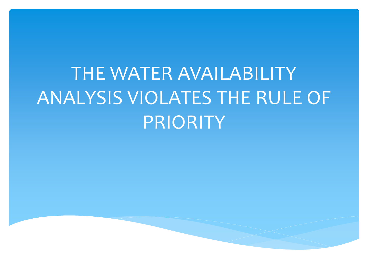# THE WATER AVAILABILITY ANALYSIS VIOLATES THE RULE OF PRIORITY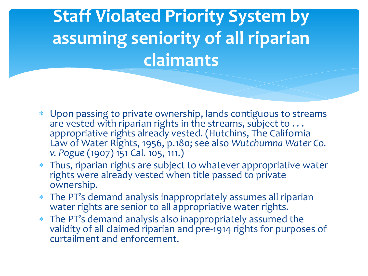### **Staff Violated Priority System by assuming seniority of all riparian claimants**

- ∗ Upon passing to private ownership, lands contiguous to streams are vested with riparian rights in the streams, subject to  $\dots$ appropriative rights already vested. (Hutchins, The California Law of Water Rights, 1956, p.180; see also *Wutchumna Water Co. v. Pogue* (1907) 151 Cal. 105, 111.)
- ∗ Thus, riparian rights are subject to whatever appropriative water rights were already vested when title passed to private ownership.
- The PT's demand analysis inappropriately assumes all riparian water rights are senior to all appropriative water rights.
- The PT's demand analysis also inappropriately assumed the validity of all claimed riparian and pre-1914 rights for purposes of curtailment and enforcement.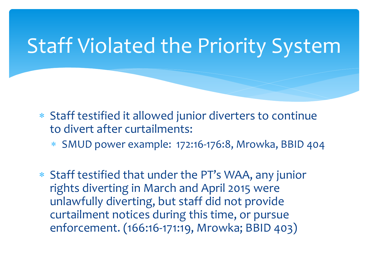### Staff Violated the Priority System

- ∗ Staff testified it allowed junior diverters to continue to divert after curtailments:
	- ∗ SMUD power example: 172:16-176:8, Mrowka, BBID 404
- ∗ Staff testified that under the PT's WAA, any junior rights diverting in March and April 2015 were unlawfully diverting, but staff did not provide curtailment notices during this time, or pursue enforcement. (166:16-171:19, Mrowka; BBID 403)